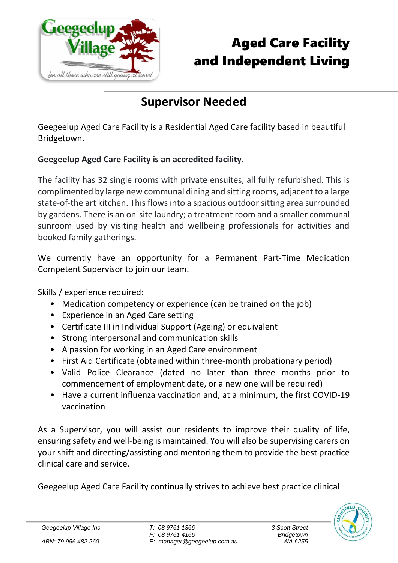

## Aged Care Facility and Independent Living

## **Supervisor Needed**

Geegeelup Aged Care Facility is a Residential Aged Care facility based in beautiful Bridgetown.

## **Geegeelup Aged Care Facility is an accredited facility.**

The facility has 32 single rooms with private ensuites, all fully refurbished. This is complimented by large new communal dining and sitting rooms, adjacent to a large state-of-the art kitchen. This flows into a spacious outdoor sitting area surrounded by gardens. There is an on-site laundry; a treatment room and a smaller communal sunroom used by visiting health and wellbeing professionals for activities and booked family gatherings.

We currently have an opportunity for a Permanent Part-Time Medication Competent Supervisor to join our team.

Skills / experience required:

- Medication competency or experience (can be trained on the job)
- Experience in an Aged Care setting
- Certificate III in Individual Support (Ageing) or equivalent
- Strong interpersonal and communication skills
- A passion for working in an Aged Care environment
- First Aid Certificate (obtained within three-month probationary period)
- Valid Police Clearance (dated no later than three months prior to commencement of employment date, or a new one will be required)
- Have a current influenza vaccination and, at a minimum, the first COVID-19 vaccination

As a Supervisor, you will assist our residents to improve their quality of life, ensuring safety and well-being is maintained. You will also be supervising carers on your shift and directing/assisting and mentoring them to provide the best practice clinical care and service.

Geegeelup Aged Care Facility continually strives to achieve best practice clinical



*Geegeelup Village Inc.*